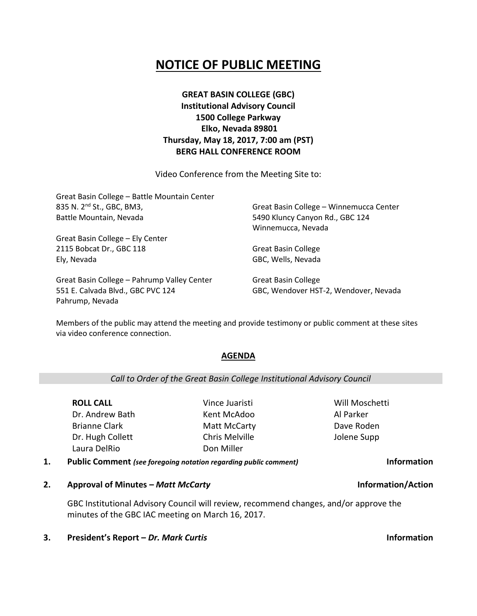# **NOTICE OF PUBLIC MEETING**

## **GREAT BASIN COLLEGE (GBC) Institutional Advisory Council 1500 College Parkway Elko, Nevada 89801 Thursday, May 18, 2017, 7:00 am (PST) BERG HALL CONFERENCE ROOM**

Video Conference from the Meeting Site to:

| Great Basin College - Battle Mountain Center |                                         |
|----------------------------------------------|-----------------------------------------|
| 835 N. 2 <sup>nd</sup> St., GBC, BM3,        | Great Basin College - Winnemucca Center |
| Battle Mountain, Nevada                      | 5490 Kluncy Canyon Rd., GBC 124         |
|                                              | Winnemucca, Nevada                      |
| Great Basin College - Ely Center             |                                         |
| 2115 Bobcat Dr., GBC 118                     | <b>Great Basin College</b>              |
| Ely, Nevada                                  | GBC, Wells, Nevada                      |
| Great Basin College - Pahrump Valley Center  | <b>Great Basin College</b>              |

551 E. Calvada Blvd., GBC PVC 124 Pahrump, Nevada

Great Basin College GBC, Wendover HST-2, Wendover, Nevada

Members of the public may attend the meeting and provide testimony or public comment at these sites via video conference connection.

### **AGENDA**

### *Call to Order of the Great Basin College Institutional Advisory Council*

**ROLL CALL** Dr. Andrew Bath Brianne Clark Dr. Hugh Collett Laura DelRio

Vince Juaristi Kent McAdoo Matt McCarty Chris Melville Don Miller

Will Moschetti Al Parker Dave Roden Jolene Supp

**1. Public Comment** *(see foregoing notation regarding public comment)* **Information**

**2. Approval of Minutes –** *Matt McCarty* **Information/Action**

GBC Institutional Advisory Council will review, recommend changes, and/or approve the minutes of the GBC IAC meeting on March 16, 2017.

**3. President's Report –** *Dr. Mark Curtis* **Information**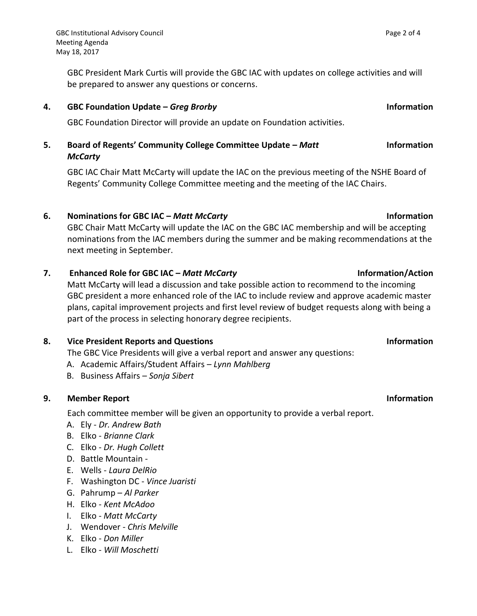GBC President Mark Curtis will provide the GBC IAC with updates on college activities and will be prepared to answer any questions or concerns.

### **4. GBC Foundation Update –** *Greg Brorby* **Information**

GBC Foundation Director will provide an update on Foundation activities.

### **5. Board of Regents' Community College Committee Update –** *Matt McCarty* **Information**

GBC IAC Chair Matt McCarty will update the IAC on the previous meeting of the NSHE Board of Regents' Community College Committee meeting and the meeting of the IAC Chairs.

### **6. Nominations for GBC IAC –** *Matt McCarty* **Information**

GBC Chair Matt McCarty will update the IAC on the GBC IAC membership and will be accepting nominations from the IAC members during the summer and be making recommendations at the next meeting in September.

### **7. Enhanced Role for GBC IAC –** *Matt McCarty* **Information/Action**

Matt McCarty will lead a discussion and take possible action to recommend to the incoming GBC president a more enhanced role of the IAC to include review and approve academic master plans, capital improvement projects and first level review of budget requests along with being a part of the process in selecting honorary degree recipients.

### **8. Vice President Reports and Questions Information**

The GBC Vice Presidents will give a verbal report and answer any questions:

- A. Academic Affairs/Student Affairs *Lynn Mahlberg*
- B. Business Affairs *Sonja Sibert*

### **9. Member Report Information**

Each committee member will be given an opportunity to provide a verbal report.

- A. Ely *Dr. Andrew Bath*
- B. Elko *Brianne Clark*
- C. Elko *Dr. Hugh Collett*
- D. Battle Mountain -
- E. Wells *Laura DelRio*
- F. Washington DC *Vince Juaristi*
- G. Pahrump *Al Parker*
- H. Elko *Kent McAdoo*
- I. Elko *Matt McCarty*
- J. Wendover *Chris Melville*
- K. Elko *Don Miller*
- L. Elko *Will Moschetti*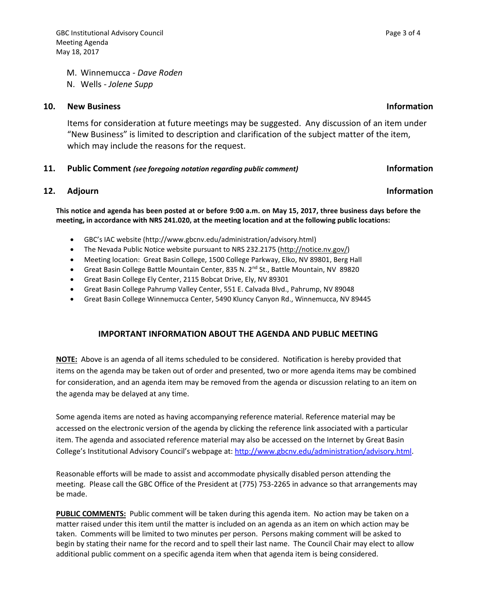M. Winnemucca - *Dave Roden*

N. Wells - *Jolene Supp*

### **10. New Business Information**

Items for consideration at future meetings may be suggested. Any discussion of an item under "New Business" is limited to description and clarification of the subject matter of the item, which may include the reasons for the request.

### **11. Public Comment** *(see foregoing notation regarding public comment)* **Information**

### **12.** Adjourn **Information**

**This notice and agenda has been posted at or before 9:00 a.m. on May 15, 2017, three business days before the meeting, in accordance with NRS 241.020, at the meeting location and at the following public locations:**

- GBC's IAC website (http://www.gbcnv.edu/administration/advisory.html)
- The Nevada Public Notice website pursuant to NRS 232.2175 [\(http://notice.nv.gov/\)](http://notice.nv.gov/)
- Meeting location: Great Basin College, 1500 College Parkway, Elko, NV 89801, Berg Hall
- Great Basin College Battle Mountain Center, 835 N. 2<sup>nd</sup> St., Battle Mountain, NV 89820
- Great Basin College Ely Center, 2115 Bobcat Drive, Ely, NV 89301
- Great Basin College Pahrump Valley Center, 551 E. Calvada Blvd., Pahrump, NV 89048
- Great Basin College Winnemucca Center, 5490 Kluncy Canyon Rd., Winnemucca, NV 89445

### **IMPORTANT INFORMATION ABOUT THE AGENDA AND PUBLIC MEETING**

**NOTE:** Above is an agenda of all items scheduled to be considered. Notification is hereby provided that items on the agenda may be taken out of order and presented, two or more agenda items may be combined for consideration, and an agenda item may be removed from the agenda or discussion relating to an item on the agenda may be delayed at any time.

Some agenda items are noted as having accompanying reference material. Reference material may be accessed on the electronic version of the agenda by clicking the reference link associated with a particular item. The agenda and associated reference material may also be accessed on the Internet by Great Basin College's Institutional Advisory Council's webpage at: [http://www.gbcnv.edu/administration/advisory.html.](http://www.gbcnv.edu/administration/advisory.html)

Reasonable efforts will be made to assist and accommodate physically disabled person attending the meeting. Please call the GBC Office of the President at (775) 753-2265 in advance so that arrangements may be made.

**PUBLIC COMMENTS:** Public comment will be taken during this agenda item. No action may be taken on a matter raised under this item until the matter is included on an agenda as an item on which action may be taken. Comments will be limited to two minutes per person. Persons making comment will be asked to begin by stating their name for the record and to spell their last name. The Council Chair may elect to allow additional public comment on a specific agenda item when that agenda item is being considered.